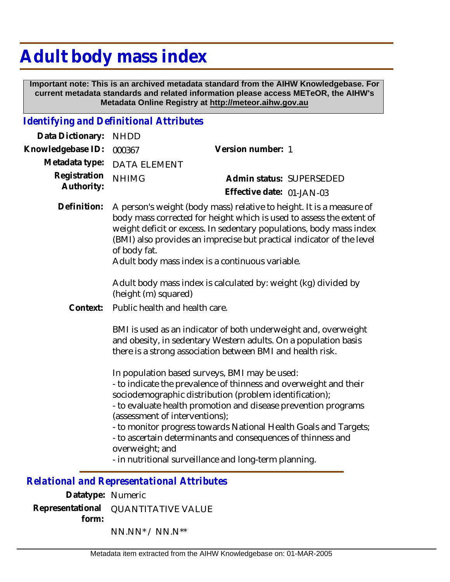## **Adult body mass index**

 **Important note: This is an archived metadata standard from the AIHW Knowledgebase. For current metadata standards and related information please access METeOR, the AIHW's Metadata Online Registry at http://meteor.aihw.gov.au**

## *Identifying and Definitional Attributes*

| Data Dictionary:           | <b>NHDD</b>                                                                                                                                                                                                                                                                                                                                                     |                                                                                                                                                                                                                                                                                                                                                                                                                                                                                |
|----------------------------|-----------------------------------------------------------------------------------------------------------------------------------------------------------------------------------------------------------------------------------------------------------------------------------------------------------------------------------------------------------------|--------------------------------------------------------------------------------------------------------------------------------------------------------------------------------------------------------------------------------------------------------------------------------------------------------------------------------------------------------------------------------------------------------------------------------------------------------------------------------|
| Knowledgebase ID:          | 000367                                                                                                                                                                                                                                                                                                                                                          | Version number: 1                                                                                                                                                                                                                                                                                                                                                                                                                                                              |
| Metadata type:             | <b>DATA ELEMENT</b>                                                                                                                                                                                                                                                                                                                                             |                                                                                                                                                                                                                                                                                                                                                                                                                                                                                |
| Registration<br>Authority: | <b>NHIMG</b>                                                                                                                                                                                                                                                                                                                                                    | Admin status: SUPERSEDED                                                                                                                                                                                                                                                                                                                                                                                                                                                       |
|                            |                                                                                                                                                                                                                                                                                                                                                                 | Effective date: 01-JAN-03                                                                                                                                                                                                                                                                                                                                                                                                                                                      |
| Definition:                | A person's weight (body mass) relative to height. It is a measure of<br>body mass corrected for height which is used to assess the extent of<br>weight deficit or excess. In sedentary populations, body mass index<br>(BMI) also provides an imprecise but practical indicator of the level<br>of body fat.<br>Adult body mass index is a continuous variable. |                                                                                                                                                                                                                                                                                                                                                                                                                                                                                |
|                            | (height (m) squared)                                                                                                                                                                                                                                                                                                                                            | Adult body mass index is calculated by: weight (kg) divided by                                                                                                                                                                                                                                                                                                                                                                                                                 |
| Context:                   |                                                                                                                                                                                                                                                                                                                                                                 | Public health and health care.                                                                                                                                                                                                                                                                                                                                                                                                                                                 |
|                            |                                                                                                                                                                                                                                                                                                                                                                 | BMI is used as an indicator of both underweight and, overweight<br>and obesity, in sedentary Western adults. On a population basis<br>there is a strong association between BMI and health risk.                                                                                                                                                                                                                                                                               |
|                            | overweight; and                                                                                                                                                                                                                                                                                                                                                 | In population based surveys, BMI may be used:<br>- to indicate the prevalence of thinness and overweight and their<br>sociodemographic distribution (problem identification);<br>- to evaluate health promotion and disease prevention programs<br>(assessment of interventions);<br>- to monitor progress towards National Health Goals and Targets;<br>- to ascertain determinants and consequences of thinness and<br>- in nutritional surveillance and long-term planning. |

*Relational and Representational Attributes*

**Datatype:** Numeric **Representational** QUANTITATIVE VALUE  **form:** NN.NN\* / NN.N\*\*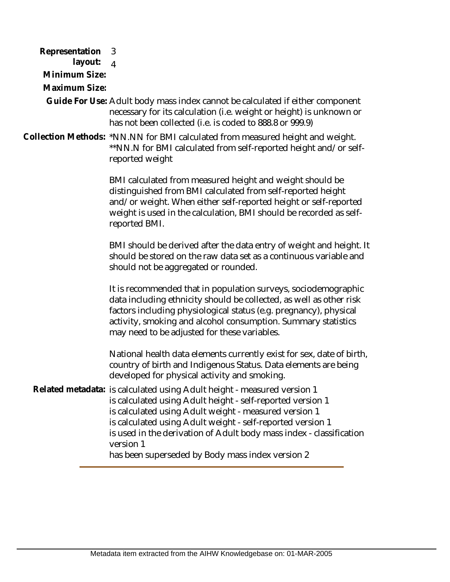**Representation**  3  **layout: Minimum Size:** 4 **Maximum Size:** Guide For Use: Adult body mass index cannot be calculated if either component necessary for its calculation (i.e. weight or height) is unknown or has not been collected (i.e. is coded to 888.8 or 999.9) Collection Methods: \*NN.NN for BMI calculated from measured height and weight. \*\*NN.N for BMI calculated from self-reported height and/or selfreported weight BMI calculated from measured height and weight should be distinguished from BMI calculated from self-reported height and/or weight. When either self-reported height or self-reported weight is used in the calculation, BMI should be recorded as selfreported BMI. BMI should be derived after the data entry of weight and height. It should be stored on the raw data set as a continuous variable and should not be aggregated or rounded. It is recommended that in population surveys, sociodemographic data including ethnicity should be collected, as well as other risk factors including physiological status (e.g. pregnancy), physical activity, smoking and alcohol consumption. Summary statistics may need to be adjusted for these variables. National health data elements currently exist for sex, date of birth, country of birth and Indigenous Status. Data elements are being developed for physical activity and smoking. Related metadata: is calculated using Adult height - measured version 1 is calculated using Adult height - self-reported version 1 is calculated using Adult weight - measured version 1 is calculated using Adult weight - self-reported version 1 is used in the derivation of Adult body mass index - classification version 1 has been superseded by Body mass index version 2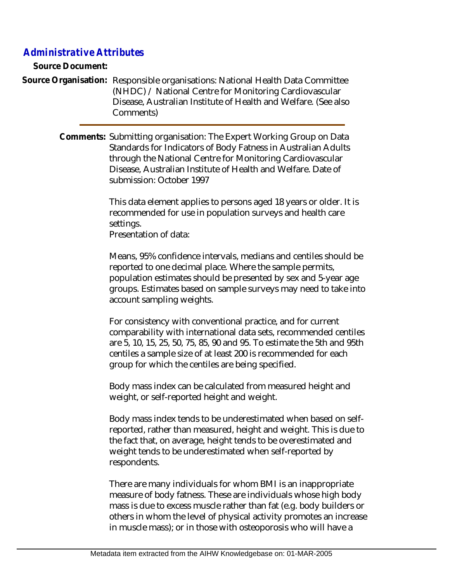## *Administrative Attributes*

**Source Document:**

Source Organisation: Responsible organisations: National Health Data Committee (NHDC) / National Centre for Monitoring Cardiovascular Disease, Australian Institute of Health and Welfare. (See also Comments)

> Comments: Submitting organisation: The Expert Working Group on Data Standards for Indicators of Body Fatness in Australian Adults through the National Centre for Monitoring Cardiovascular Disease, Australian Institute of Health and Welfare. Date of submission: October 1997

> > This data element applies to persons aged 18 years or older. It is recommended for use in population surveys and health care settings.

Presentation of data:

Means, 95% confidence intervals, medians and centiles should be reported to one decimal place. Where the sample permits, population estimates should be presented by sex and 5-year age groups. Estimates based on sample surveys may need to take into account sampling weights.

For consistency with conventional practice, and for current comparability with international data sets, recommended centiles are 5, 10, 15, 25, 50, 75, 85, 90 and 95. To estimate the 5th and 95th centiles a sample size of at least 200 is recommended for each group for which the centiles are being specified.

Body mass index can be calculated from measured height and weight, or self-reported height and weight.

Body mass index tends to be underestimated when based on selfreported, rather than measured, height and weight. This is due to the fact that, on average, height tends to be overestimated and weight tends to be underestimated when self-reported by respondents.

There are many individuals for whom BMI is an inappropriate measure of body fatness. These are individuals whose high body mass is due to excess muscle rather than fat (e.g. body builders or others in whom the level of physical activity promotes an increase in muscle mass); or in those with osteoporosis who will have a